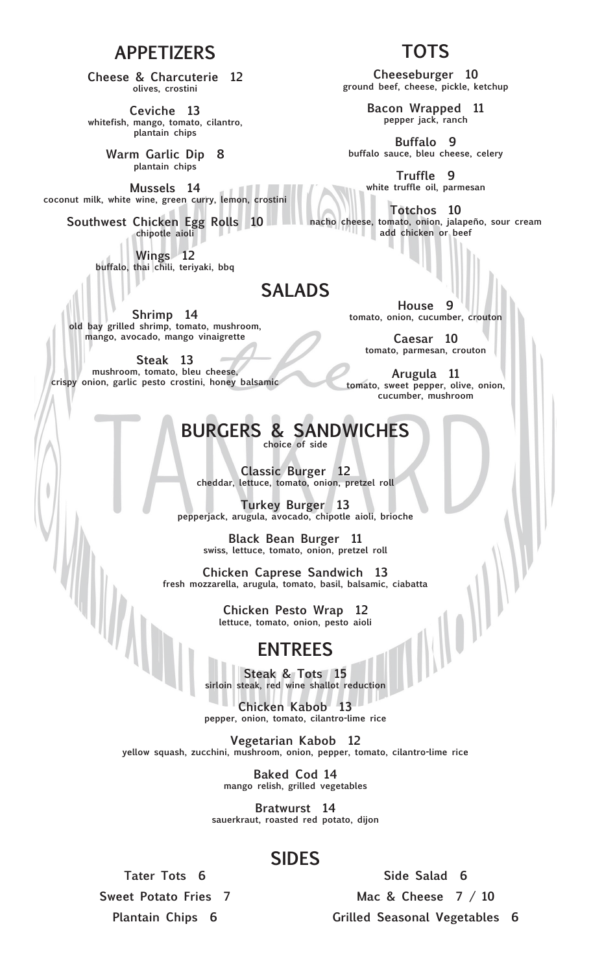#### **APPETIZERS**

**Cheese & Charcuterie 12 olives, crostini**

**Ceviche 13 whitefish, mango, tomato, cilantro, plantain chips**

> **Warm Garlic Dip 8 plantain chips**

**Mussels 14 coconut milk, white wine, green curry, lemon, crostini**

**Southwest Chicken Egg Rolls 10 chipotle aioli**

> **Wings 12 buffalo, thai chili, teriyaki, bbq**

#### **SALADS**

**Shrimp 14 old bay grilled shrimp, tomato, mushroom, mango, avocado, mango vinaigrette**

**Steak 13 mushroom, tomato, bleu cheese, crispy onion, garlic pesto crostini, honey balsamic**

**House 9 tomato, onion, cucumber, crouton**

> **Caesar 10 tomato, parmesan, crouton**

**Arugula 11 tomato, sweet pepper, olive, onion, cucumber, mushroom**

# **BURGERS & SANDWICHES**

**choice of side**

**Classic Burger 12 cheddar, lettuce, tomato, onion, pretzel roll**

**Turkey Burger 13 pepperjack, arugula, avocado, chipotle aioli, brioche**

> **Black Bean Burger 11 swiss, lettuce, tomato, onion, pretzel roll**

**Chicken Caprese Sandwich 13 fresh mozzarella, arugula, tomato, basil, balsamic, ciabatta**

> **Chicken Pesto Wrap 12 lettuce, tomato, onion, pesto aioli**

#### **ENTREES**

**Steak & Tots 15 sirloin steak, red wine shallot reduction**

**Chicken Kabob 13 pepper, onion, tomato, cilantro-lime rice**

**Vegetarian Kabob 12 yellow squash, zucchini, mushroom, onion, pepper, tomato, cilantro-lime rice**

> **Baked Cod 14 mango relish, grilled vegetables**

**Bratwurst 14 sauerkraut, roasted red potato, dijon**

### **SIDES**

**Tater Tots 6 Sweet Potato Fries 7 Plantain Chips 6**

**Side Salad 6 Mac & Cheese 7 / 10 Grilled Seasonal Vegetables 6**

### **TOTS**

**Cheeseburger 10 ground beef, cheese, pickle, ketchup**

> **Bacon Wrapped 11 pepper jack, ranch**

**Buffalo 9 buffalo sauce, bleu cheese, celery**

> **Truffle 9 white truffle oil, parmesan**

**Totchos 10 nacho cheese, tomato, onion, jalapeño, sour cream add chicken or beef**